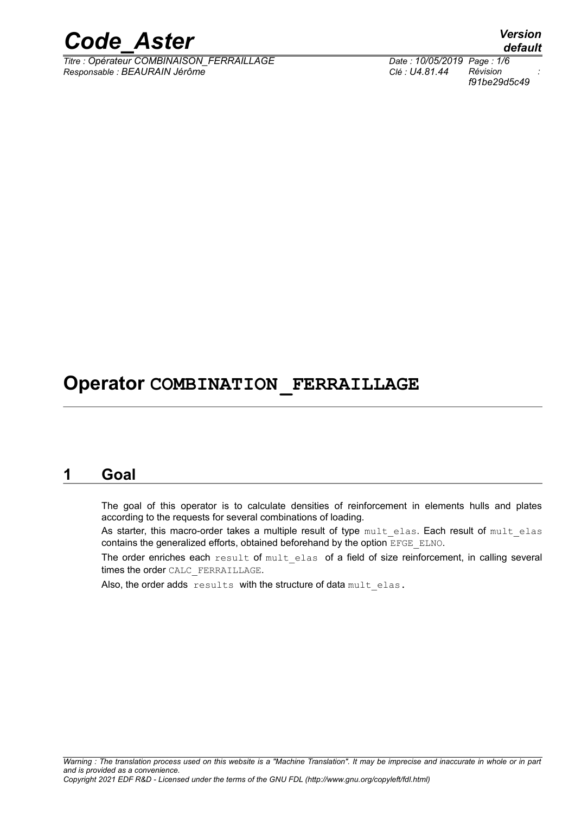

*Titre : Opérateur COMBINAISON\_FERRAILLAGE Date : 10/05/2019 Page : 1/6 Responsable : BEAURAIN Jérôme Clé : U4.81.44 Révision :*

*default f91be29d5c49*

# **Operator COMBINATION\_FERRAILLAGE**

## **1 Goal**

The goal of this operator is to calculate densities of reinforcement in elements hulls and plates according to the requests for several combinations of loading.

As starter, this macro-order takes a multiple result of type mult elas. Each result of mult elas contains the generalized efforts, obtained beforehand by the option EFGE\_ELNO.

The order enriches each result of mult elas of a field of size reinforcement, in calling several times the order CALC\_FERRAILLAGE.

Also, the order adds results with the structure of data mult elas.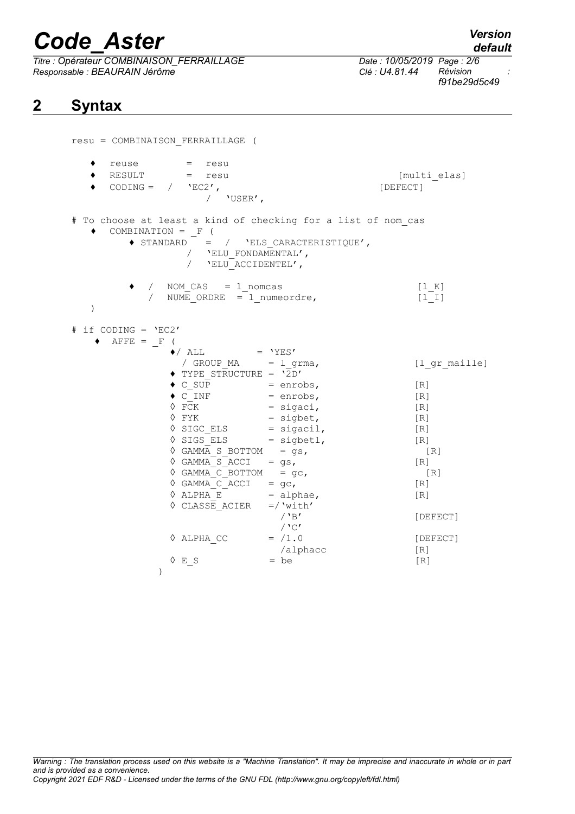*Titre : Opérateur COMBINAISON\_FERRAILLAGE Date : 10/05/2019 Page : 2/6 Responsable : BEAURAIN Jérôme Clé : U4.81.44 Révision :*

## **2 Syntax**

*f91be29d5c49*

| resu = COMBINAISON_FERRAILLAGE (                                                                                                                                                                                                                                                                                                                                                                                                                                                                                                                                                                                                                                                                                                                                                                                                                                                                                               |                                                                                                           |
|--------------------------------------------------------------------------------------------------------------------------------------------------------------------------------------------------------------------------------------------------------------------------------------------------------------------------------------------------------------------------------------------------------------------------------------------------------------------------------------------------------------------------------------------------------------------------------------------------------------------------------------------------------------------------------------------------------------------------------------------------------------------------------------------------------------------------------------------------------------------------------------------------------------------------------|-----------------------------------------------------------------------------------------------------------|
| ٠<br>reuse = resu<br>$RESULT$ = resu<br>CODING = $/$ 'EC2',<br>/ 'USER',                                                                                                                                                                                                                                                                                                                                                                                                                                                                                                                                                                                                                                                                                                                                                                                                                                                       | [multi elas]<br>[DEFECT]                                                                                  |
| # To choose at least a kind of checking for a list of nom cas<br>COMBINATION = $F($<br>$\bullet$ STANDARD = / 'ELS CARACTERISTIQUE',<br>/ $\,$ $\,$ <code>'ELU_FONDAMENTAL'</code> ,<br>/ $'$ ELU ACCIDENTEL',                                                                                                                                                                                                                                                                                                                                                                                                                                                                                                                                                                                                                                                                                                                 |                                                                                                           |
| / NOM_CAS = 1_nomcas<br>/ NUME ORDRE = $1$ numeordre,<br>$\mathcal{E}$                                                                                                                                                                                                                                                                                                                                                                                                                                                                                                                                                                                                                                                                                                                                                                                                                                                         | [1 K]<br>$[1 1]$                                                                                          |
| # if CODING = $'EC2'$<br>$\text{AFFE}$ = F (<br>$\bullet$ / ALL = 'YES'<br>/ $GROUP_MA = 1_{grma}$ ,<br>$\blacklozenge$ TYPE STRUCTURE = '2D'<br>$\begin{array}{rcl}\n\bullet & C\_SUB & = \text{enrobs}, \\ \bullet & C\_INF & = \text{enrobs}, \\ \lozenge & FCK & = \text{sigaci}, \\ \lozenge & FYK & = \text{sigoci}, \\ \lozenge & SICCELS & = \text{sigoci}, \\ \lozenge & SIGS_ELS & = \text{sigoci}, \\ \lozenge & SIGS_ELS & = \text{sigoci}, \\ \lozenge & SINGELS & = \text{sigect}, \\ \lozenge & SINGELS & = \text{sigect}, \\ \lozenge & SINGELS & = \text{sigect}, \\ \lozenge & SINGELS & = \text{sigect}, \\ \lozenge & SINGELS & = \text{sigect},$<br>$\Diamond$ GAMMA S BOTTOM = gs,<br>$\Diamond$ GAMMA S ACCI = gs,<br>$\Diamond$ GAMMA C BOTTOM = gc,<br>$\sqrt[6]{GAMMA_CACCI} = gc,$<br>$\sqrt[6]{ALPHA_E} = alphae,$<br>$\therefore$<br>$\Diamond$ CLASSE ACIER =/'with'<br>$/$ 'B'<br>$\bigwedge C$ | [1 gr maille]<br>[R]<br>[R]<br>$[R]1$<br>[R]<br>[R]<br>[R]<br>[R]<br>[R]<br>[R]<br>[R]<br>[R]<br>[DEFECT] |
| $\Diamond$ ALPHA CC = $/1.0$<br>/alphacc<br>$\Diamond$ E S<br>$=$ be<br>$\mathcal{E}$                                                                                                                                                                                                                                                                                                                                                                                                                                                                                                                                                                                                                                                                                                                                                                                                                                          | [DEFECT]<br>[R]<br>[R]                                                                                    |

*Warning : The translation process used on this website is a "Machine Translation". It may be imprecise and inaccurate in whole or in part and is provided as a convenience. Copyright 2021 EDF R&D - Licensed under the terms of the GNU FDL (http://www.gnu.org/copyleft/fdl.html)*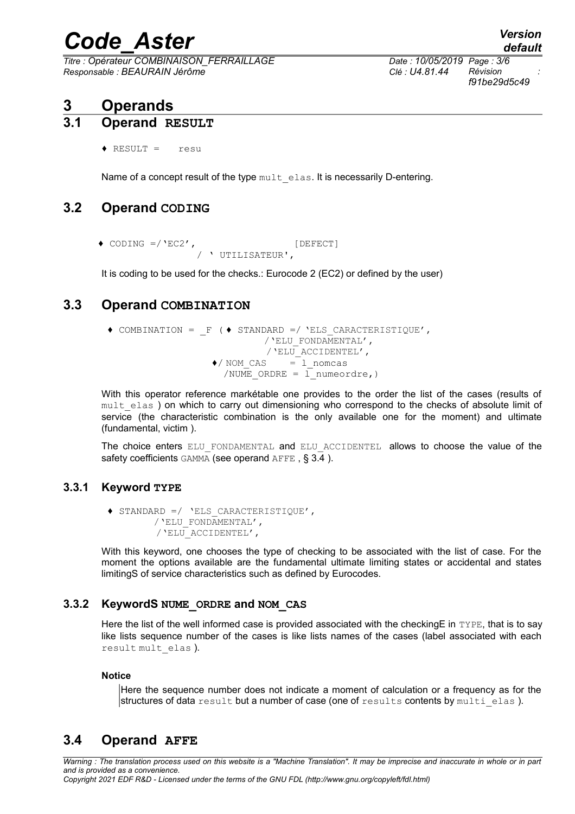*Titre : Opérateur COMBINAISON\_FERRAILLAGE Date : 10/05/2019 Page : 3/6 Responsable : BEAURAIN Jérôme Clé : U4.81.44 Révision :*

*f91be29d5c49*

## **3 Operands**

### **3.1 Operand RESULT**

♦ RESULT = resu

Name of a concept result of the type mult elas. It is necessarily D-entering.

## **3.2 Operand CODING**

 $\bullet$  CODING =/ 'EC2', / ' UTILISATEUR',

<span id="page-2-1"></span>It is coding to be used for the checks.: Eurocode 2 (EC2) or defined by the user)

## **3.3 Operand COMBINATION**

♦ COMBINATION = \_F ( ♦ STANDARD =/ 'ELS\_CARACTERISTIQUE', /'ELU\_FONDAMENTAL', /'ELU\_ACCIDENTEL',  $\bigwedge$  NOM CAS = 1 nomcas /NUME ORDRE =  $1$  numeordre, )

With this operator reference markétable one provides to the order the list of the cases (results of mult elas) on which to carry out dimensioning who correspond to the checks of absolute limit of service (the characteristic combination is the only available one for the moment) and ultimate (fundamental, victim ).

The choice enters ELU FONDAMENTAL and ELU ACCIDENTEL allows to choose the value of the safety coefficients GAMMA (see operand AFFE , § [3.4](#page-2-0) ).

#### **3.3.1 Keyword TYPE**

♦ STANDARD =/ 'ELS\_CARACTERISTIQUE', /'ELU\_FONDAMENTAL', /'ELU\_ACCIDENTEL',

With this keyword, one chooses the type of checking to be associated with the list of case. For the moment the options available are the fundamental ultimate limiting states or accidental and states limitingS of service characteristics such as defined by Eurocodes.

#### **3.3.2 KeywordS NUME\_ORDRE and NOM\_CAS**

Here the list of the well informed case is provided associated with the checking E in TYPE, that is to say like lists sequence number of the cases is like lists names of the cases (label associated with each result mult elas ).

#### **Notice**

Here the sequence number does not indicate a moment of calculation or a frequency as for the structures of data  $result$  but a number of case (one of  $result$ s contents by  $multi$  elas ).

## <span id="page-2-0"></span>**3.4 Operand AFFE**

*Warning : The translation process used on this website is a "Machine Translation". It may be imprecise and inaccurate in whole or in part and is provided as a convenience. Copyright 2021 EDF R&D - Licensed under the terms of the GNU FDL (http://www.gnu.org/copyleft/fdl.html)*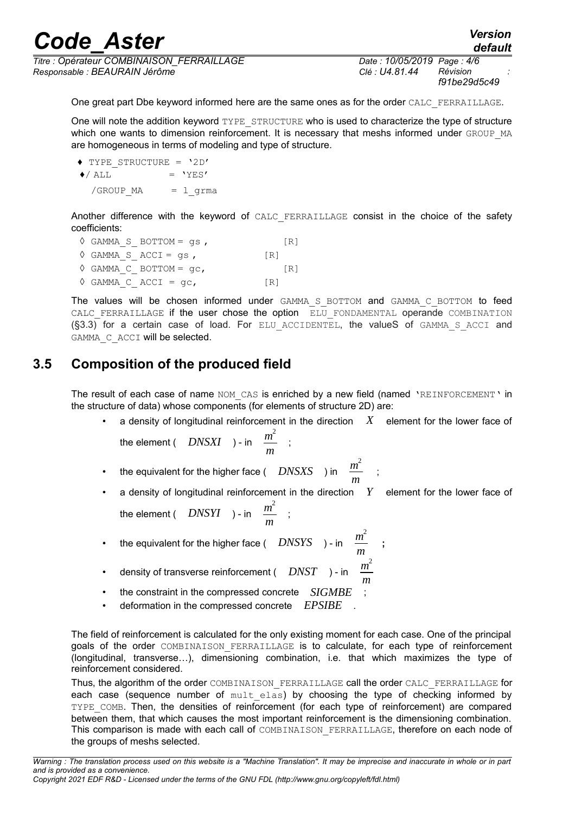*Titre : Opérateur COMBINAISON\_FERRAILLAGE Date : 10/05/2019 Page : 4/6 Responsable : BEAURAIN Jérôme Clé : U4.81.44 Révision :*

*f91be29d5c49*

*default*

One great part Dbe keyword informed here are the same ones as for the order CALC\_FERRAILLAGE.

One will note the addition keyword TYPE\_STRUCTURE who is used to characterize the type of structure which one wants to dimension reinforcement. It is necessary that meshs informed under GROUP MA are homogeneous in terms of modeling and type of structure.

 ♦ TYPE\_STRUCTURE = '2D'  $\triangle$ / ALL = 'YES' /GROUP\_MA = l\_grma

Another difference with the keyword of CALC FERRAILLAGE consist in the choice of the safety coefficients:

| $\Diamond$ GAMMA S BOTTOM = qs,         |     | $\lceil R \rceil$ |
|-----------------------------------------|-----|-------------------|
| $\Diamond$ GAMMA S ACCI = qs,           | [R] |                   |
| $\Diamond$ GAMMA C BOTTOM = $\alpha$ c, |     | $\lceil R \rceil$ |
| $\Diamond$ GAMMA C ACCI = qc,           | [R] |                   |

The values will be chosen informed under GAMMA S BOTTOM and GAMMA C BOTTOM to feed CALC FERRAILLAGE if the user chose the option  $E_{\text{L}}$  fondamental operande COMBINATION ([§3.3\)](#page-2-1) for a certain case of load. For ELU\_ACCIDENTEL, the valueS of GAMMA\_S\_ACCI and GAMMA C ACCI will be selected.

## **3.5 Composition of the produced field**

The result of each case of name NOM CAS is enriched by a new field (named 'REINFORCEMENT' in the structure of data) whose components (for elements of structure 2D) are:

• a density of longitudinal reinforcement in the direction *X* element for the lower face of

the element ( *DNSXI* ) - in *<sup>m</sup>* 2  $\frac{n}{m}$  ;

- the equivalent for the higher face( $\overline{D}$  *DNSXS* ) in  $\overline{m}^2$  $\frac{m}{m}$  ;
- a density of longitudinal reinforcement in the direction *Y* element for the lower face of the element ( *DNSYI* ) - in *<sup>m</sup>* 2  $\frac{m}{m}$  ;

**;**

- the equivalent for the higher face (  $DNSYS$  ) in  $\frac{m^2}{2}$ *m*
- density of transverse reinforcement (  $\overline{D}\overline{N}$  ) in  $\overline{m}^2$
- *m* the constraint in the compressed concrete *SIGMBE*
- deformation in the compressed concrete *EPSIBE* .

The field of reinforcement is calculated for the only existing moment for each case. One of the principal goals of the order COMBINAISON FERRAILLAGE is to calculate, for each type of reinforcement (longitudinal, transverse…), dimensioning combination, i.e. that which maximizes the type of reinforcement considered.

Thus, the algorithm of the order COMBINAISON\_FERRAILLAGE call the order CALC\_FERRAILLAGE for each case (sequence number of mult elas) by choosing the type of checking informed by TYPE\_COMB. Then, the densities of reinforcement (for each type of reinforcement) are compared between them, that which causes the most important reinforcement is the dimensioning combination. This comparison is made with each call of COMBINAISON FERRAILLAGE, therefore on each node of the groups of meshs selected.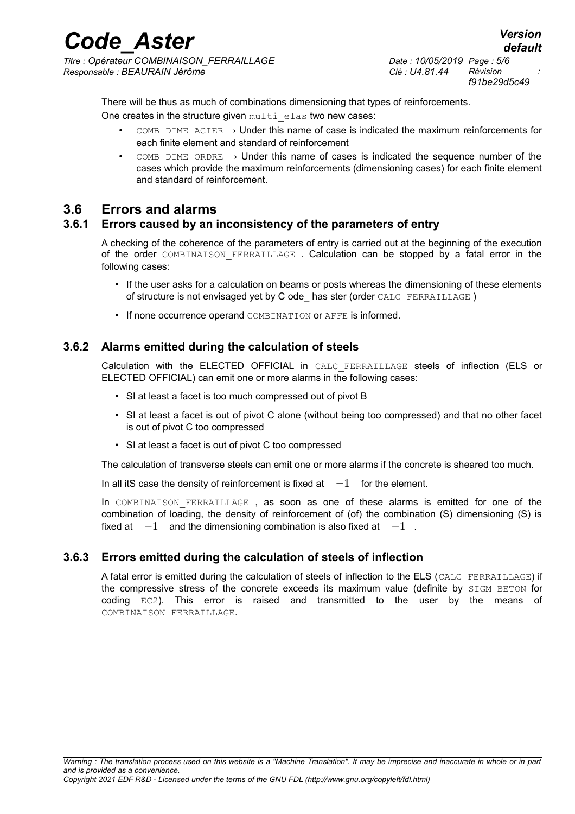*f91be29d5c49*

There will be thus as much of combinations dimensioning that types of reinforcements.

One creates in the structure given multi elas two new cases:

- COMB DIME ACIER  $\rightarrow$  Under this name of case is indicated the maximum reinforcements for each finite element and standard of reinforcement
- COMB DIME ORDRE  $\rightarrow$  Under this name of cases is indicated the sequence number of the cases which provide the maximum reinforcements (dimensioning cases) for each finite element and standard of reinforcement.

## **3.6 Errors and alarms**

#### **3.6.1 Errors caused by an inconsistency of the parameters of entry**

A checking of the coherence of the parameters of entry is carried out at the beginning of the execution of the order COMBINAISON\_FERRAILLAGE . Calculation can be stopped by a fatal error in the following cases:

- If the user asks for a calculation on beams or posts whereas the dimensioning of these elements of structure is not envisaged yet by C ode\_ has ster (order CALC\_FERRAILLAGE )
- If none occurrence operand COMBINATION or AFFE is informed.

#### **3.6.2 Alarms emitted during the calculation of steels**

Calculation with the ELECTED OFFICIAL in CALC\_FERRAILLAGE steels of inflection (ELS or ELECTED OFFICIAL) can emit one or more alarms in the following cases:

- SI at least a facet is too much compressed out of pivot B
- SI at least a facet is out of pivot C alone (without being too compressed) and that no other facet is out of pivot C too compressed
- SI at least a facet is out of pivot C too compressed

The calculation of transverse steels can emit one or more alarms if the concrete is sheared too much.

In all itS case the density of reinforcement is fixed at  $-1$  for the element.

In COMBINAISON FERRAILLAGE, as soon as one of these alarms is emitted for one of the combination of loading, the density of reinforcement of (of) the combination (S) dimensioning (S) is fixed at  $-1$  and the dimensioning combination is also fixed at  $-1$ .

### **3.6.3 Errors emitted during the calculation of steels of inflection**

A fatal error is emitted during the calculation of steels of inflection to the ELS (CALC\_FERRAILLAGE) if the compressive stress of the concrete exceeds its maximum value (definite by SIGM\_BETON for coding EC2). This error is raised and transmitted to the user by the means of COMBINAISON\_FERRAILLAGE.